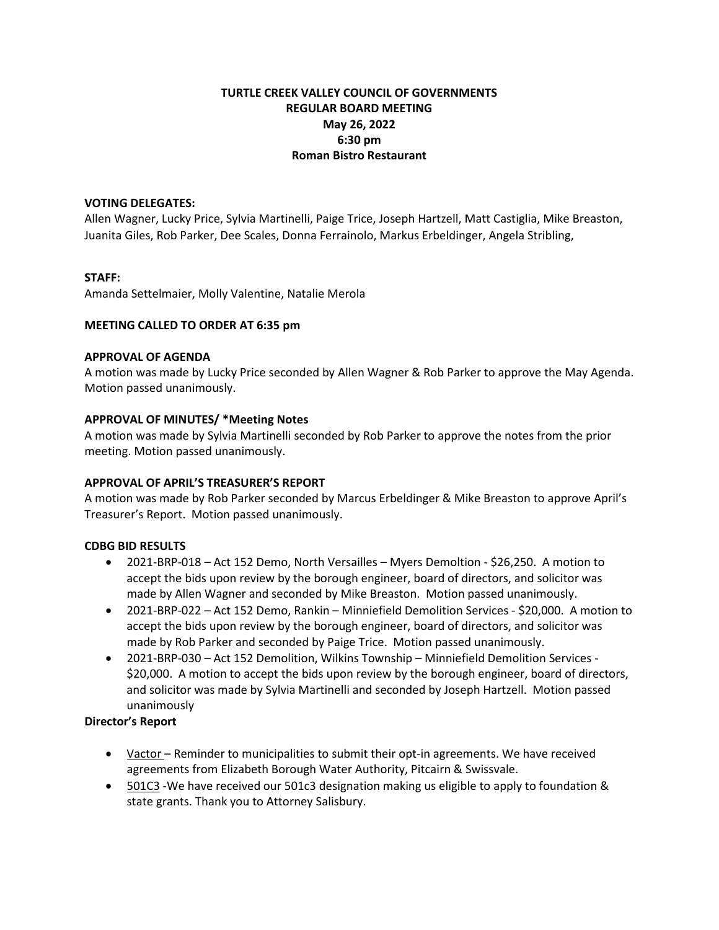# **TURTLE CREEK VALLEY COUNCIL OF GOVERNMENTS REGULAR BOARD MEETING May 26, 2022 6:30 pm Roman Bistro Restaurant**

### **VOTING DELEGATES:**

Allen Wagner, Lucky Price, Sylvia Martinelli, Paige Trice, Joseph Hartzell, Matt Castiglia, Mike Breaston, Juanita Giles, Rob Parker, Dee Scales, Donna Ferrainolo, Markus Erbeldinger, Angela Stribling,

## **STAFF:**

Amanda Settelmaier, Molly Valentine, Natalie Merola

### **MEETING CALLED TO ORDER AT 6:35 pm**

#### **APPROVAL OF AGENDA**

A motion was made by Lucky Price seconded by Allen Wagner & Rob Parker to approve the May Agenda. Motion passed unanimously.

### **APPROVAL OF MINUTES/ \*Meeting Notes**

A motion was made by Sylvia Martinelli seconded by Rob Parker to approve the notes from the prior meeting. Motion passed unanimously.

### **APPROVAL OF APRIL'S TREASURER'S REPORT**

A motion was made by Rob Parker seconded by Marcus Erbeldinger & Mike Breaston to approve April's Treasurer's Report. Motion passed unanimously.

### **CDBG BID RESULTS**

- 2021-BRP-018 Act 152 Demo, North Versailles Myers Demoltion \$26,250. A motion to accept the bids upon review by the borough engineer, board of directors, and solicitor was made by Allen Wagner and seconded by Mike Breaston. Motion passed unanimously.
- 2021-BRP-022 Act 152 Demo, Rankin Minniefield Demolition Services \$20,000. A motion to accept the bids upon review by the borough engineer, board of directors, and solicitor was made by Rob Parker and seconded by Paige Trice. Motion passed unanimously.
- 2021-BRP-030 Act 152 Demolition, Wilkins Township Minniefield Demolition Services \$20,000. A motion to accept the bids upon review by the borough engineer, board of directors, and solicitor was made by Sylvia Martinelli and seconded by Joseph Hartzell. Motion passed unanimously

### **Director's Report**

- Vactor Reminder to municipalities to submit their opt-in agreements. We have received agreements from Elizabeth Borough Water Authority, Pitcairn & Swissvale.
- 501C3 We have received our 501c3 designation making us eligible to apply to foundation & state grants. Thank you to Attorney Salisbury.